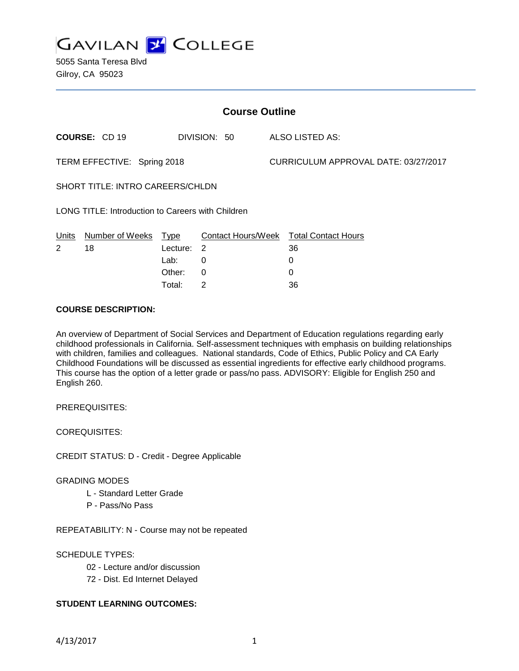

5055 Santa Teresa Blvd Gilroy, CA 95023

| <b>Course Outline</b>                             |                      |          |                |                                      |                                        |
|---------------------------------------------------|----------------------|----------|----------------|--------------------------------------|----------------------------------------|
|                                                   | <b>COURSE: CD 19</b> |          | DIVISION: 50   |                                      | ALSO LISTED AS:                        |
| TERM EFFECTIVE: Spring 2018                       |                      |          |                | CURRICULUM APPROVAL DATE: 03/27/2017 |                                        |
| SHORT TITLE: INTRO CAREERS/CHLDN                  |                      |          |                |                                      |                                        |
| LONG TITLE: Introduction to Careers with Children |                      |          |                |                                      |                                        |
| Units                                             | Number of Weeks Type |          |                |                                      | Contact Hours/Week Total Contact Hours |
| $\overline{2}$                                    | 18                   | Lecture: | $\overline{2}$ |                                      | 36                                     |
|                                                   |                      | Lab:     | 0              |                                      | 0                                      |
|                                                   |                      | Other:   | $\Omega$       |                                      | 0                                      |
|                                                   |                      | Total:   | 2              |                                      | 36                                     |

### **COURSE DESCRIPTION:**

An overview of Department of Social Services and Department of Education regulations regarding early childhood professionals in California. Self-assessment techniques with emphasis on building relationships with children, families and colleagues. National standards, Code of Ethics, Public Policy and CA Early Childhood Foundations will be discussed as essential ingredients for effective early childhood programs. This course has the option of a letter grade or pass/no pass. ADVISORY: Eligible for English 250 and English 260.

PREREQUISITES:

COREQUISITES:

CREDIT STATUS: D - Credit - Degree Applicable

#### GRADING MODES

- L Standard Letter Grade
- P Pass/No Pass

REPEATABILITY: N - Course may not be repeated

#### SCHEDULE TYPES:

- 02 Lecture and/or discussion
- 72 Dist. Ed Internet Delayed

## **STUDENT LEARNING OUTCOMES:**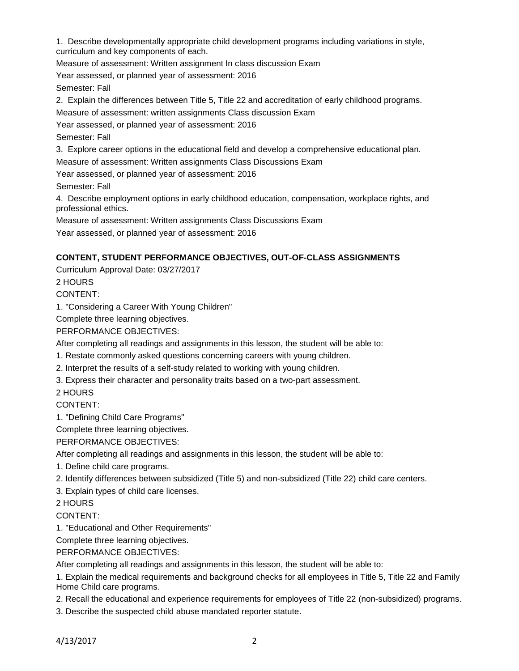1. Describe developmentally appropriate child development programs including variations in style, curriculum and key components of each.

Measure of assessment: Written assignment In class discussion Exam

Year assessed, or planned year of assessment: 2016

Semester: Fall

2. Explain the differences between Title 5, Title 22 and accreditation of early childhood programs.

Measure of assessment: written assignments Class discussion Exam

Year assessed, or planned year of assessment: 2016

Semester: Fall

3. Explore career options in the educational field and develop a comprehensive educational plan. Measure of assessment: Written assignments Class Discussions Exam

Year assessed, or planned year of assessment: 2016

Semester: Fall

4. Describe employment options in early childhood education, compensation, workplace rights, and professional ethics.

Measure of assessment: Written assignments Class Discussions Exam

Year assessed, or planned year of assessment: 2016

## **CONTENT, STUDENT PERFORMANCE OBJECTIVES, OUT-OF-CLASS ASSIGNMENTS**

Curriculum Approval Date: 03/27/2017

2 HOURS

CONTENT:

1. "Considering a Career With Young Children"

Complete three learning objectives.

PERFORMANCE OBJECTIVES:

After completing all readings and assignments in this lesson, the student will be able to:

1. Restate commonly asked questions concerning careers with young children.

2. Interpret the results of a self-study related to working with young children.

3. Express their character and personality traits based on a two-part assessment.

2 HOURS

CONTENT:

1. "Defining Child Care Programs"

Complete three learning objectives.

PERFORMANCE OBJECTIVES:

After completing all readings and assignments in this lesson, the student will be able to:

1. Define child care programs.

2. Identify differences between subsidized (Title 5) and non-subsidized (Title 22) child care centers.

3. Explain types of child care licenses.

2 HOURS

CONTENT:

1. "Educational and Other Requirements"

Complete three learning objectives.

PERFORMANCE OBJECTIVES:

After completing all readings and assignments in this lesson, the student will be able to:

1. Explain the medical requirements and background checks for all employees in Title 5, Title 22 and Family Home Child care programs.

2. Recall the educational and experience requirements for employees of Title 22 (non-subsidized) programs.

3. Describe the suspected child abuse mandated reporter statute.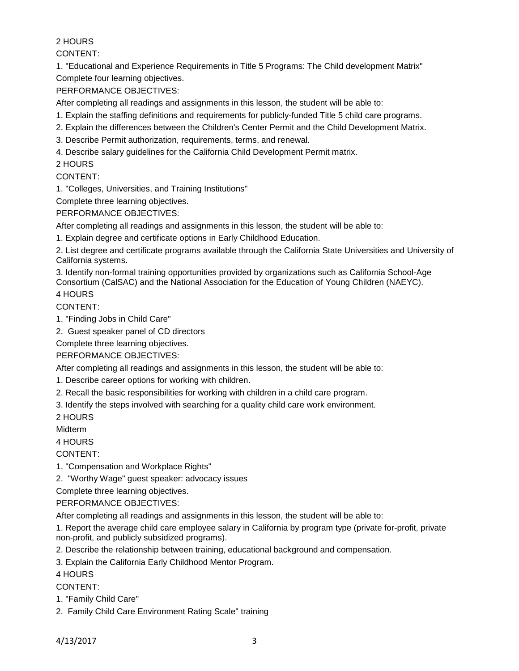# 2 HOURS

CONTENT:

1. "Educational and Experience Requirements in Title 5 Programs: The Child development Matrix" Complete four learning objectives.

PERFORMANCE OBJECTIVES:

After completing all readings and assignments in this lesson, the student will be able to:

- 1. Explain the staffing definitions and requirements for publicly-funded Title 5 child care programs.
- 2. Explain the differences between the Children's Center Permit and the Child Development Matrix.
- 3. Describe Permit authorization, requirements, terms, and renewal.

4. Describe salary guidelines for the California Child Development Permit matrix.

2 HOURS

## CONTENT:

1. "Colleges, Universities, and Training Institutions"

Complete three learning objectives.

## PERFORMANCE OBJECTIVES:

After completing all readings and assignments in this lesson, the student will be able to:

1. Explain degree and certificate options in Early Childhood Education.

2. List degree and certificate programs available through the California State Universities and University of California systems.

3. Identify non-formal training opportunities provided by organizations such as California School-Age Consortium (CalSAC) and the National Association for the Education of Young Children (NAEYC). 4 HOURS

CONTENT:

1. "Finding Jobs in Child Care"

2. Guest speaker panel of CD directors

Complete three learning objectives.

## PERFORMANCE OBJECTIVES:

After completing all readings and assignments in this lesson, the student will be able to:

- 1. Describe career options for working with children.
- 2. Recall the basic responsibilities for working with children in a child care program.
- 3. Identify the steps involved with searching for a quality child care work environment.
- 2 HOURS

Midterm

## 4 HOURS

CONTENT:

1. "Compensation and Workplace Rights"

2. "Worthy Wage" guest speaker: advocacy issues

Complete three learning objectives.

# PERFORMANCE OBJECTIVES:

After completing all readings and assignments in this lesson, the student will be able to:

1. Report the average child care employee salary in California by program type (private for-profit, private non-profit, and publicly subsidized programs).

2. Describe the relationship between training, educational background and compensation.

3. Explain the California Early Childhood Mentor Program.

# 4 HOURS

CONTENT:

- 1. "Family Child Care"
- 2. Family Child Care Environment Rating Scale" training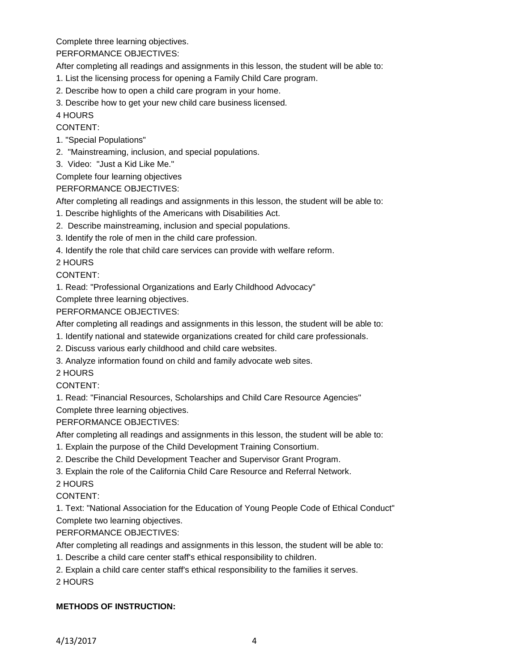Complete three learning objectives.

PERFORMANCE OBJECTIVES:

After completing all readings and assignments in this lesson, the student will be able to:

- 1. List the licensing process for opening a Family Child Care program.
- 2. Describe how to open a child care program in your home.
- 3. Describe how to get your new child care business licensed.

# 4 HOURS

CONTENT:

- 1. "Special Populations"
- 2. "Mainstreaming, inclusion, and special populations.
- 3. Video: "Just a Kid Like Me."

Complete four learning objectives

PERFORMANCE OBJECTIVES:

After completing all readings and assignments in this lesson, the student will be able to:

- 1. Describe highlights of the Americans with Disabilities Act.
- 2. Describe mainstreaming, inclusion and special populations.
- 3. Identify the role of men in the child care profession.
- 4. Identify the role that child care services can provide with welfare reform.

2 HOURS

## CONTENT:

1. Read: "Professional Organizations and Early Childhood Advocacy"

Complete three learning objectives.

## PERFORMANCE OBJECTIVES:

After completing all readings and assignments in this lesson, the student will be able to:

- 1. Identify national and statewide organizations created for child care professionals.
- 2. Discuss various early childhood and child care websites.
- 3. Analyze information found on child and family advocate web sites.

2 HOURS

# CONTENT:

1. Read: "Financial Resources, Scholarships and Child Care Resource Agencies"

Complete three learning objectives.

# PERFORMANCE OBJECTIVES:

After completing all readings and assignments in this lesson, the student will be able to:

- 1. Explain the purpose of the Child Development Training Consortium.
- 2. Describe the Child Development Teacher and Supervisor Grant Program.
- 3. Explain the role of the California Child Care Resource and Referral Network.

# 2 HOURS

# CONTENT:

1. Text: "National Association for the Education of Young People Code of Ethical Conduct" Complete two learning objectives.

# PERFORMANCE OBJECTIVES:

After completing all readings and assignments in this lesson, the student will be able to:

- 1. Describe a child care center staff's ethical responsibility to children.
- 2. Explain a child care center staff's ethical responsibility to the families it serves.

2 HOURS

# **METHODS OF INSTRUCTION:**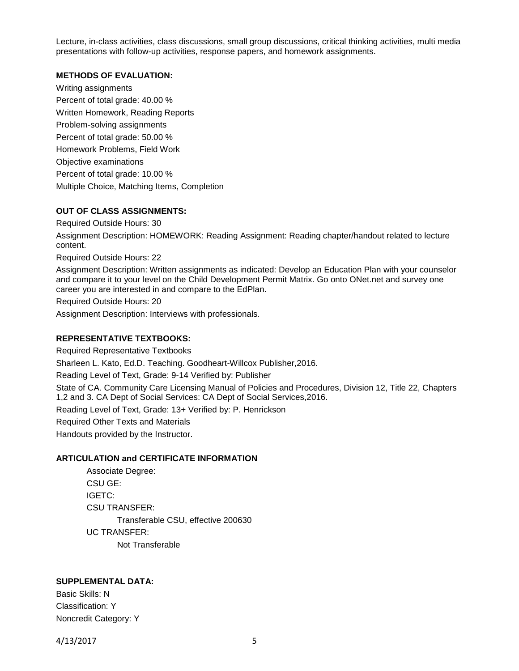Lecture, in-class activities, class discussions, small group discussions, critical thinking activities, multi media presentations with follow-up activities, response papers, and homework assignments.

#### **METHODS OF EVALUATION:**

Writing assignments Percent of total grade: 40.00 % Written Homework, Reading Reports Problem-solving assignments Percent of total grade: 50.00 % Homework Problems, Field Work Objective examinations Percent of total grade: 10.00 % Multiple Choice, Matching Items, Completion

### **OUT OF CLASS ASSIGNMENTS:**

Required Outside Hours: 30

Assignment Description: HOMEWORK: Reading Assignment: Reading chapter/handout related to lecture content.

Required Outside Hours: 22

Assignment Description: Written assignments as indicated: Develop an Education Plan with your counselor and compare it to your level on the Child Development Permit Matrix. Go onto ONet.net and survey one career you are interested in and compare to the EdPlan.

Required Outside Hours: 20

Assignment Description: Interviews with professionals.

## **REPRESENTATIVE TEXTBOOKS:**

Required Representative Textbooks Sharleen L. Kato, Ed.D. Teaching. Goodheart-Willcox Publisher,2016. Reading Level of Text, Grade: 9-14 Verified by: Publisher State of CA. Community Care Licensing Manual of Policies and Procedures, Division 12, Title 22, Chapters 1,2 and 3. CA Dept of Social Services: CA Dept of Social Services,2016. Reading Level of Text, Grade: 13+ Verified by: P. Henrickson Required Other Texts and Materials Handouts provided by the Instructor.

#### **ARTICULATION and CERTIFICATE INFORMATION**

Associate Degree: CSU GE: IGETC: CSU TRANSFER: Transferable CSU, effective 200630 UC TRANSFER: Not Transferable

### **SUPPLEMENTAL DATA:**

Basic Skills: N Classification: Y Noncredit Category: Y